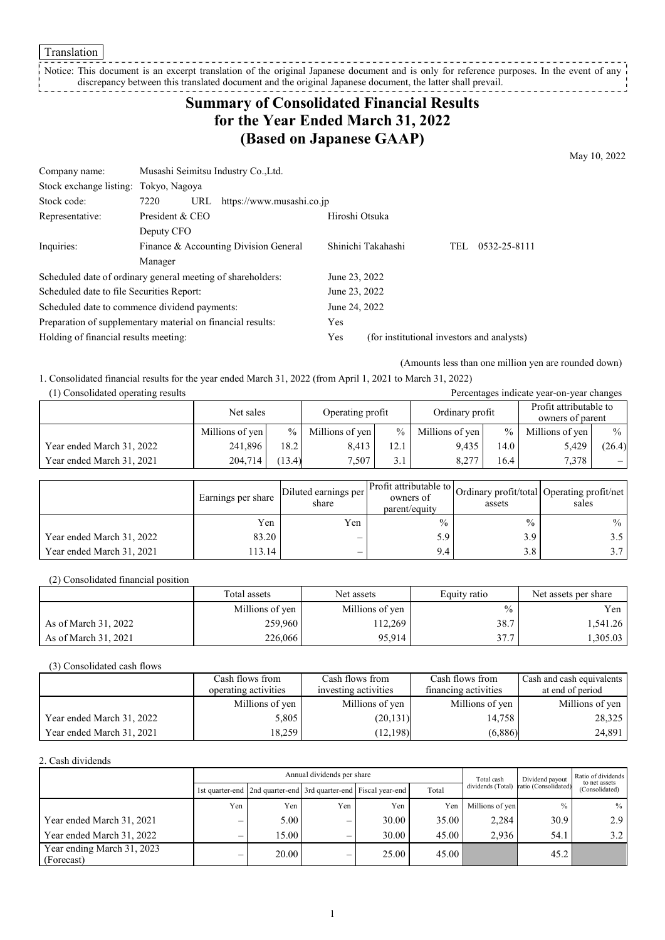**Translation** 

#### Notice: This document is an excerpt translation of the original Japanese document and is only for reference purposes. In the event of any discrepancy between this translated document and the original Japanese document, the latter shall prevail.

## **Summary of Consolidated Financial Results for the Year Ended March 31, 2022 (Based on Japanese GAAP)**

May 10, 2022

| Company name:                                               | Musashi Seimitsu Industry Co., Ltd.   |                           |               |                                            |  |  |  |  |
|-------------------------------------------------------------|---------------------------------------|---------------------------|---------------|--------------------------------------------|--|--|--|--|
| Stock exchange listing: Tokyo, Nagoya                       |                                       |                           |               |                                            |  |  |  |  |
| Stock code:                                                 | 7220<br>URL                           | https://www.musashi.co.jp |               |                                            |  |  |  |  |
| President & CEO<br>Hiroshi Otsuka<br>Representative:        |                                       |                           |               |                                            |  |  |  |  |
|                                                             | Deputy CFO                            |                           |               |                                            |  |  |  |  |
| Inquiries:                                                  | Finance & Accounting Division General | Shinichi Takahashi        |               | 0532-25-8111<br>TEL                        |  |  |  |  |
|                                                             | Manager                               |                           |               |                                            |  |  |  |  |
| Scheduled date of ordinary general meeting of shareholders: |                                       |                           | June 23, 2022 |                                            |  |  |  |  |
| Scheduled date to file Securities Report:                   |                                       |                           | June 23, 2022 |                                            |  |  |  |  |
| Scheduled date to commence dividend payments:               |                                       |                           | June 24, 2022 |                                            |  |  |  |  |
| Preparation of supplementary material on financial results: |                                       |                           | Yes           |                                            |  |  |  |  |
| Holding of financial results meeting:                       |                                       |                           | Yes           | (for institutional investors and analysts) |  |  |  |  |

(Amounts less than one million yen are rounded down)

1. Consolidated financial results for the year ended March 31, 2022 (from April 1, 2021 to March 31, 2022)

| (1) Consolidated operating results<br>Percentages indicate year-on-year changes |                 |        |                  |      |                 |      |                                            |        |  |
|---------------------------------------------------------------------------------|-----------------|--------|------------------|------|-----------------|------|--------------------------------------------|--------|--|
|                                                                                 | Net sales       |        | Operating profit |      | Ordinary profit |      | Profit attributable to<br>owners of parent |        |  |
|                                                                                 | Millions of yen | $\%$   | Millions of yen  | $\%$ | Millions of yen | $\%$ | Millions of yen                            | $\%$   |  |
| Year ended March 31, 2022                                                       | 241,896         | 18.2   | 8.413            | 12.1 | 9.435           | 14.0 | 5,429                                      | (26.4) |  |
| Year ended March 31, 2021                                                       | 204,714         | (13.4) | 7.507            | 3.1  | 8.277           | 16.4 | 7.378                                      | $-1$   |  |

|                           | Earnings per share | Diluted earnings per l'<br>share | Profit attributable to $\mathcal{L}$<br>owners of<br>parent/equity | assets | Ordinary profit/total Operating profit/net<br>sales |
|---------------------------|--------------------|----------------------------------|--------------------------------------------------------------------|--------|-----------------------------------------------------|
|                           | Yen                | Yen                              | $\frac{0}{0}$                                                      | $\%$   | $\%$                                                |
| Year ended March 31, 2022 | 83.20              |                                  | 5.9                                                                | 3.9    | $3.5 \perp$                                         |
| Year ended March 31, 2021 | 113.14             | $\overline{\phantom{0}}$         | 9.4                                                                | 3.8    | 3.7                                                 |

(2) Consolidated financial position

|                      | Total assets    | Net assets      | Equity ratio   | Net assets per share |
|----------------------|-----------------|-----------------|----------------|----------------------|
|                      | Millions of yen | Millions of yen | $\frac{0}{0}$  | Yen 1                |
| As of March 31, 2022 | 259,960         | 12,269          | 38.7           | 1,541.26             |
| As of March 31, 2021 | 226,066         | 95.914          | 277<br>، ، ا پ | ا 305.03.            |

(3) Consolidated cash flows

|                           | Cash flows from      | Cash flows from      | Cash flows from      | Cash and cash equivalents |
|---------------------------|----------------------|----------------------|----------------------|---------------------------|
|                           | operating activities | investing activities | financing activities | at end of period          |
|                           | Millions of yen      | Millions of yen      | Millions of yen      | Millions of yen           |
| Year ended March 31, 2022 | 5,805                | (20, 131)            | 14,758               | 28,325                    |
| Year ended March 31, 2021 | 18,259               | (12,198)             | (6,886)              | 24,891                    |

#### 2. Cash dividends

|                                          |     |                                                                 | Annual dividends per share | Total cash | Dividend payout | Ratio of dividends<br>to net assets |                      |                |  |
|------------------------------------------|-----|-----------------------------------------------------------------|----------------------------|------------|-----------------|-------------------------------------|----------------------|----------------|--|
|                                          |     | 1st quarter-end 2nd quarter-end 3rd quarter-end Fiscal year-end |                            |            | Total           | dividends (Total)                   | ratio (Consolidated) | (Consolidated) |  |
|                                          | Yen | Yen                                                             | Yen                        | Yen        | Yen             | Millions of yen                     | $\frac{0}{0}$        | $%$            |  |
| Year ended March 31, 2021                |     | 5.00                                                            | —                          | 30.00      | 35.00           | 2,284                               | 30.9                 | 2.9            |  |
| Year ended March 31, 2022                |     | 15.00                                                           | –                          | 30.00      | 45.00           | 2.936                               | 54.1                 | 3.2            |  |
| Year ending March 31, 2023<br>(Forecast) | $-$ | 20.00                                                           | –                          | 25.00      | 45.00           |                                     | 45.2                 |                |  |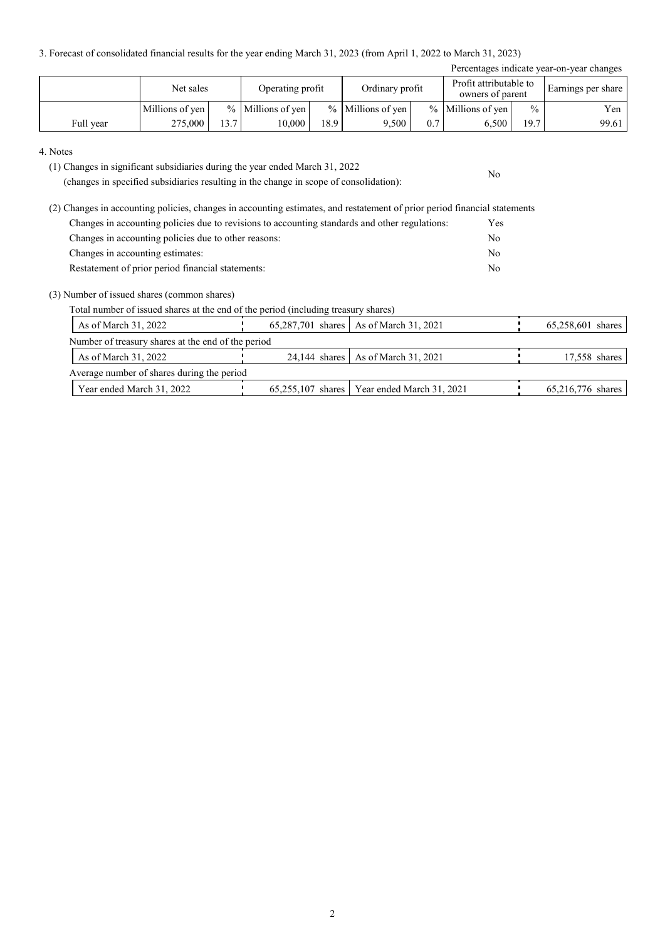3. Forecast of consolidated financial results for the year ending March 31, 2023 (from April 1, 2022 to March 31, 2023)

| Percentages indicate year-on-year changes |                 |                   |                     |      |                     |     |                                            |               |                    |  |  |
|-------------------------------------------|-----------------|-------------------|---------------------|------|---------------------|-----|--------------------------------------------|---------------|--------------------|--|--|
|                                           | Net sales       |                   | Operating profit    |      | Ordinary profit     |     | Profit attributable to<br>owners of parent |               | Earnings per share |  |  |
|                                           | Millions of yen |                   | $%$ Millions of yen |      | $%$ Millions of yen |     | % Millions of yen                          | $\frac{0}{0}$ | Yen                |  |  |
| Full year                                 | 275,000         | 13.7 <sub>1</sub> | 10.000              | 18.9 | 9.500               | 0.7 | 6.500                                      | 19.7          | 99.61              |  |  |

No

#### 4. Notes

(1) Changes in significant subsidiaries during the year ended March 31, 2022

(changes in specified subsidiaries resulting in the change in scope of consolidation):

(2) Changes in accounting policies, changes in accounting estimates, and restatement of prior period financial statements Changes in accounting policies due to revisions to accounting standards and other regulations: Yes Changes in accounting policies due to other reasons: No Changes in accounting estimates: No Restatement of prior period financial statements: No

#### (3) Number of issued shares (common shares)

Total number of issued shares at the end of the period (including treasury shares)

| As of March 31, 2022                               |  |  | 65,287,701 shares   As of March 31, 2021      |  | 65,258,601 shares |  |  |  |  |
|----------------------------------------------------|--|--|-----------------------------------------------|--|-------------------|--|--|--|--|
| Number of treasury shares at the end of the period |  |  |                                               |  |                   |  |  |  |  |
| As of March 31, 2022                               |  |  | 24,144 shares   As of March 31, 2021          |  | 17,558 shares     |  |  |  |  |
| Average number of shares during the period         |  |  |                                               |  |                   |  |  |  |  |
| Year ended March 31, 2022                          |  |  | 65,255,107 shares   Year ended March 31, 2021 |  | 65,216,776 shares |  |  |  |  |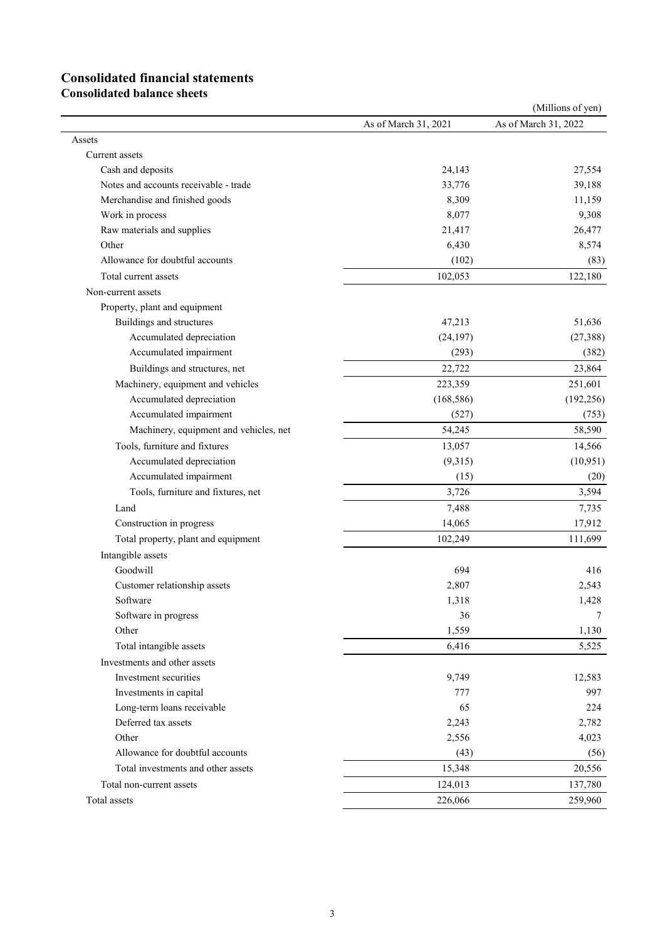# **Consolidated financial statements**

**Consolidated balance sheets**

|                                        |                      | (Millions of yen)    |
|----------------------------------------|----------------------|----------------------|
|                                        | As of March 31, 2021 | As of March 31, 2022 |
| Assets                                 |                      |                      |
| Current assets                         |                      |                      |
| Cash and deposits                      | 24,143               | 27,554               |
| Notes and accounts receivable - trade  | 33,776               | 39,188               |
| Merchandise and finished goods         | 8,309                | 11,159               |
| Work in process                        | 8,077                | 9,308                |
| Raw materials and supplies             | 21,417               | 26,477               |
| Other                                  | 6,430                | 8,574                |
| Allowance for doubtful accounts        | (102)                | (83)                 |
| Total current assets                   | 102,053              | 122,180              |
| Non-current assets                     |                      |                      |
| Property, plant and equipment          |                      |                      |
| Buildings and structures               | 47,213               | 51,636               |
| Accumulated depreciation               | (24, 197)            | (27, 388)            |
| Accumulated impairment                 | (293)                | (382)                |
| Buildings and structures, net          | 22,722               | 23,864               |
| Machinery, equipment and vehicles      | 223,359              | 251,601              |
| Accumulated depreciation               | (168, 586)           | (192, 256)           |
| Accumulated impairment                 | (527)                | (753)                |
| Machinery, equipment and vehicles, net | 54,245               | 58,590               |
| Tools, furniture and fixtures          | 13,057               | 14,566               |
| Accumulated depreciation               | (9,315)              | (10, 951)            |
| Accumulated impairment                 | (15)                 | (20)                 |
| Tools, furniture and fixtures, net     | 3,726                | 3,594                |
| Land                                   | 7,488                | 7,735                |
| Construction in progress               | 14,065               | 17,912               |
| Total property, plant and equipment    | 102,249              | 111,699              |
| Intangible assets                      |                      |                      |
| Goodwill                               | 694                  | 416                  |
| Customer relationship assets           | 2,807                | 2,543                |
| Software                               | 1,318                | 1,428                |
| Software in progress                   | 36                   | 7                    |
| Other                                  | 1,559                | 1,130                |
| Total intangible assets                | 6,416                | 5,525                |
| Investments and other assets           |                      |                      |
| Investment securities                  | 9,749                | 12,583               |
| Investments in capital                 | 777                  | 997                  |
| Long-term loans receivable             | 65                   | 224                  |
| Deferred tax assets                    | 2,243                | 2,782                |
| Other                                  | 2,556                | 4,023                |
| Allowance for doubtful accounts        | (43)                 | (56)                 |
| Total investments and other assets     | 15,348               | 20,556               |
| Total non-current assets               | 124,013              | 137,780              |
| Total assets                           | 226,066              | 259,960              |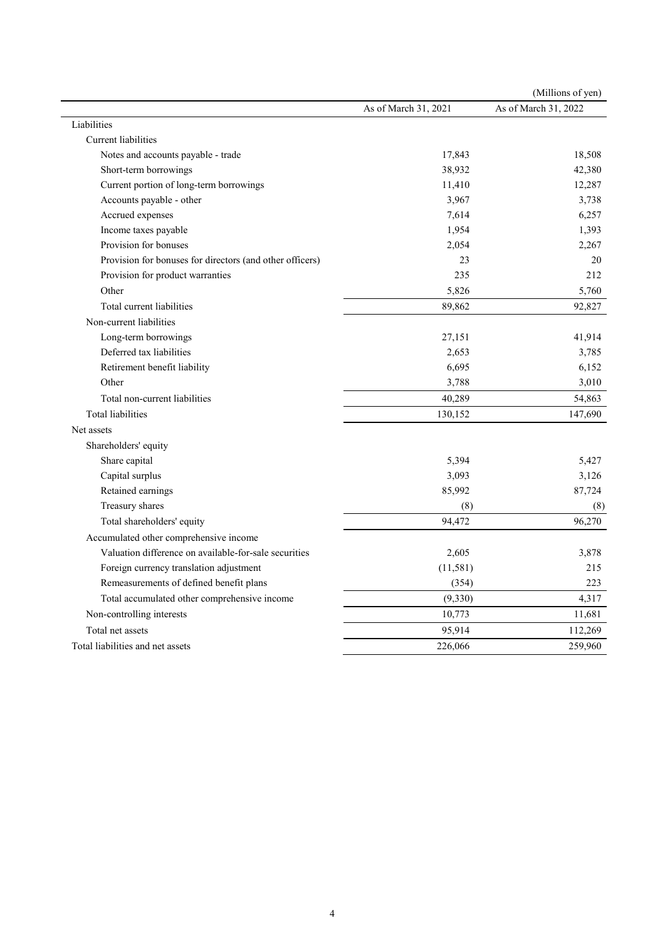|                                                          |                      | (Millions of yen)    |
|----------------------------------------------------------|----------------------|----------------------|
|                                                          | As of March 31, 2021 | As of March 31, 2022 |
| Liabilities                                              |                      |                      |
| Current liabilities                                      |                      |                      |
| Notes and accounts payable - trade                       | 17,843               | 18,508               |
| Short-term borrowings                                    | 38,932               | 42,380               |
| Current portion of long-term borrowings                  | 11,410               | 12,287               |
| Accounts payable - other                                 | 3,967                | 3,738                |
| Accrued expenses                                         | 7,614                | 6,257                |
| Income taxes payable                                     | 1,954                | 1,393                |
| Provision for bonuses                                    | 2,054                | 2,267                |
| Provision for bonuses for directors (and other officers) | 23                   | 20                   |
| Provision for product warranties                         | 235                  | 212                  |
| Other                                                    | 5,826                | 5,760                |
| Total current liabilities                                | 89.862               | 92,827               |
| Non-current liabilities                                  |                      |                      |
| Long-term borrowings                                     | 27,151               | 41,914               |
| Deferred tax liabilities                                 | 2,653                | 3,785                |
| Retirement benefit liability                             | 6,695                | 6,152                |
| Other                                                    | 3,788                | 3,010                |
| Total non-current liabilities                            | 40,289               | 54,863               |
| <b>Total liabilities</b>                                 | 130,152              | 147,690              |
| Net assets                                               |                      |                      |
| Shareholders' equity                                     |                      |                      |
| Share capital                                            | 5,394                | 5,427                |
| Capital surplus                                          | 3,093                | 3,126                |
| Retained earnings                                        | 85,992               | 87,724               |
| Treasury shares                                          | (8)                  | (8)                  |
| Total shareholders' equity                               | 94,472               | 96,270               |
| Accumulated other comprehensive income                   |                      |                      |
| Valuation difference on available-for-sale securities    | 2,605                | 3,878                |
| Foreign currency translation adjustment                  | (11,581)             | 215                  |
| Remeasurements of defined benefit plans                  | (354)                | 223                  |
| Total accumulated other comprehensive income             | (9, 330)             | 4,317                |
| Non-controlling interests                                | 10,773               | 11,681               |
| Total net assets                                         | 95,914               | 112,269              |
| Total liabilities and net assets                         | 226,066              | 259,960              |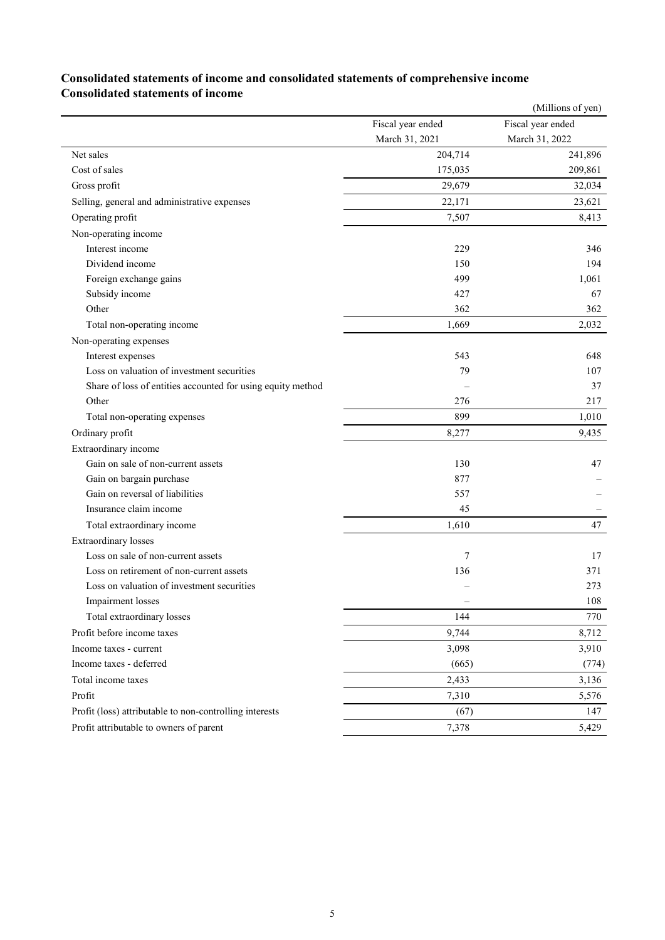### (Millions of yen) Fiscal year ended March 31, 2021 Fiscal year ended March 31, 2022 Net sales 201,714 241,896 Cost of sales 175,035 209,861 Gross profit 29,679 32,034 Selling, general and administrative expenses 22,171 23,621 23,621 Operating profit 8,413 Non-operating income Interest income 229 346 Dividend income 150 194 Foreign exchange gains 1,061 and the state of the state of the state of the state of the state of the state of the state of the state of the state of the state of the state of the state of the state of the state of the sta Subsidy income  $427$  67 Other 362 362 362 Total non-operating income 1,669 2,032 Non-operating expenses Interest expenses 648 648 Loss on valuation of investment securities 79 107 Share of loss of entities accounted for using equity method  $\overline{37}$ Other  $217$ Total non-operating expenses 899 1,010 Ordinary profit 9,435 Extraordinary income Gain on sale of non-current assets 130 47 Gain on bargain purchase 877 Gain on reversal of liabilities 557 Insurance claim income  $\overline{a}$  –  $\overline{a}$  –  $\overline{a}$  –  $\overline{a}$  –  $\overline{a}$  –  $\overline{a}$  –  $\overline{a}$  –  $\overline{a}$  –  $\overline{a}$  –  $\overline{a}$  –  $\overline{a}$  –  $\overline{a}$  –  $\overline{a}$  –  $\overline{a}$  –  $\overline{a}$  –  $\overline{a}$  –  $\overline{a}$  –  $\overline{a}$  – Total extraordinary income 1,610 47 Extraordinary losses Loss on sale of non-current assets 17 17 Loss on retirement of non-current assets 136 371 Loss on valuation of investment securities – 273 Impairment losses and the set of the set of the set of the set of the set of the set of the set of the set of the set of the set of the set of the set of the set of the set of the set of the set of the set of the set of th Total extraordinary losses 6 144 770 Profit before income taxes 8,712 Income taxes - current 3,098 3,910

### **Consolidated statements of income and consolidated statements of comprehensive income Consolidated statements of income**

Income taxes - deferred (665) (774) Total income taxes 2.433 3,136 Profit 5,576 5,576 Profit (loss) attributable to non-controlling interests (67) 147 Profit attributable to owners of parent 5,429 5,429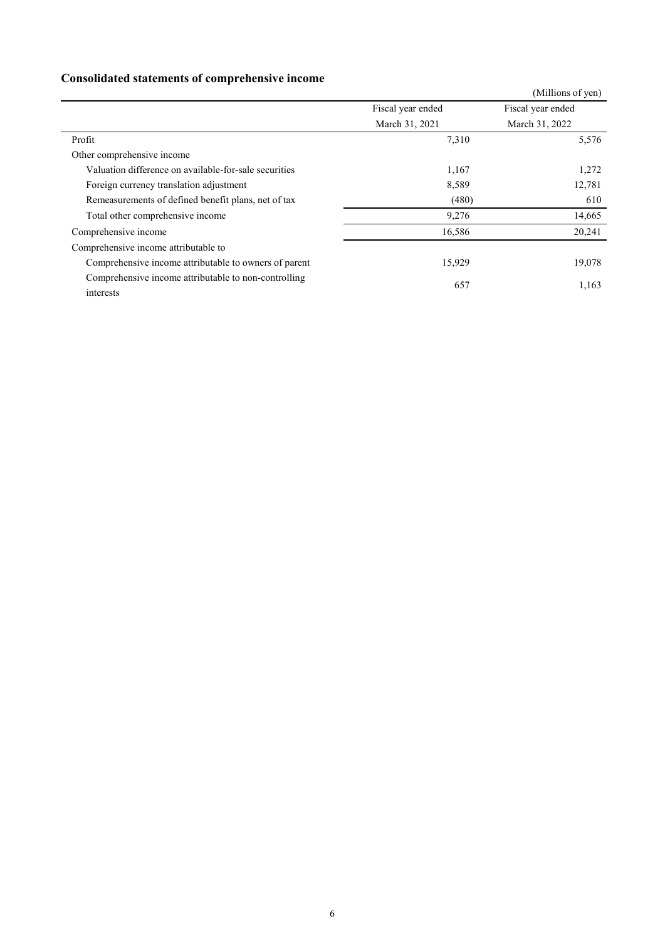## **Consolidated statements of comprehensive income**

|                                                                   |                   | (Millions of yen) |
|-------------------------------------------------------------------|-------------------|-------------------|
|                                                                   | Fiscal year ended | Fiscal year ended |
|                                                                   | March 31, 2021    | March 31, 2022    |
| Profit                                                            | 7,310             | 5,576             |
| Other comprehensive income                                        |                   |                   |
| Valuation difference on available-for-sale securities             | 1,167             | 1,272             |
| Foreign currency translation adjustment                           | 8,589             | 12,781            |
| Remeasurements of defined benefit plans, net of tax               | (480)             | 610               |
| Total other comprehensive income                                  | 9,276             | 14,665            |
| Comprehensive income                                              | 16,586            | 20,241            |
| Comprehensive income attributable to                              |                   |                   |
| Comprehensive income attributable to owners of parent             | 15,929            | 19,078            |
| Comprehensive income attributable to non-controlling<br>interests | 657               | 1,163             |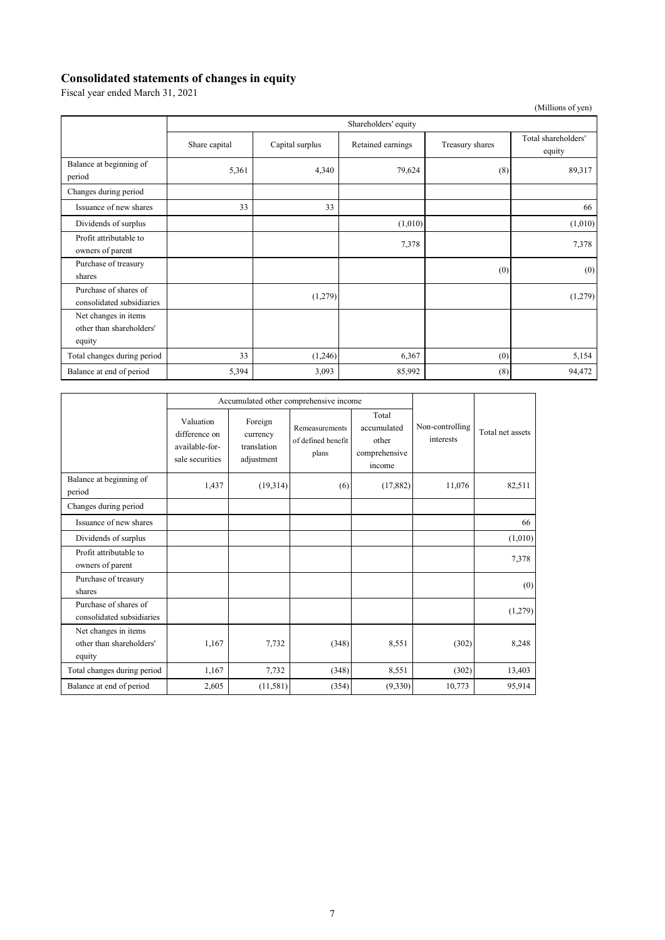### **Consolidated statements of changes in equity**

Fiscal year ended March 31, 2021

(Millions of yen)

|                                                            | Shareholders' equity |                 |                   |                 |                               |  |  |  |
|------------------------------------------------------------|----------------------|-----------------|-------------------|-----------------|-------------------------------|--|--|--|
|                                                            | Share capital        | Capital surplus | Retained earnings | Treasury shares | Total shareholders'<br>equity |  |  |  |
| Balance at beginning of<br>period                          | 5,361                | 4,340           | 79,624            | (8)             | 89,317                        |  |  |  |
| Changes during period                                      |                      |                 |                   |                 |                               |  |  |  |
| Issuance of new shares                                     | 33                   | 33              |                   |                 | 66                            |  |  |  |
| Dividends of surplus                                       |                      |                 | (1,010)           |                 | (1,010)                       |  |  |  |
| Profit attributable to<br>owners of parent                 |                      |                 | 7,378             |                 | 7,378                         |  |  |  |
| Purchase of treasury<br>shares                             |                      |                 |                   | (0)             | (0)                           |  |  |  |
| Purchase of shares of<br>consolidated subsidiaries         |                      | (1,279)         |                   |                 | (1,279)                       |  |  |  |
| Net changes in items<br>other than shareholders'<br>equity |                      |                 |                   |                 |                               |  |  |  |
| Total changes during period                                | 33                   | (1,246)         | 6,367             | (0)             | 5,154                         |  |  |  |
| Balance at end of period                                   | 5,394                | 3,093           | 85,992            | (8)             | 94,472                        |  |  |  |

|                                                            | Accumulated other comprehensive income                          |                                                  |                                               |                                                          |                              |                  |
|------------------------------------------------------------|-----------------------------------------------------------------|--------------------------------------------------|-----------------------------------------------|----------------------------------------------------------|------------------------------|------------------|
|                                                            | Valuation<br>difference on<br>available-for-<br>sale securities | Foreign<br>currency<br>translation<br>adjustment | Remeasurements<br>of defined benefit<br>plans | Total<br>accumulated<br>other<br>comprehensive<br>income | Non-controlling<br>interests | Total net assets |
| Balance at beginning of<br>period                          | 1,437                                                           | (19,314)                                         | (6)                                           | (17, 882)                                                | 11,076                       | 82,511           |
| Changes during period                                      |                                                                 |                                                  |                                               |                                                          |                              |                  |
| Issuance of new shares                                     |                                                                 |                                                  |                                               |                                                          |                              | 66               |
| Dividends of surplus                                       |                                                                 |                                                  |                                               |                                                          |                              | (1,010)          |
| Profit attributable to<br>owners of parent                 |                                                                 |                                                  |                                               |                                                          |                              | 7,378            |
| Purchase of treasury<br>shares                             |                                                                 |                                                  |                                               |                                                          |                              | (0)              |
| Purchase of shares of<br>consolidated subsidiaries         |                                                                 |                                                  |                                               |                                                          |                              | (1,279)          |
| Net changes in items<br>other than shareholders'<br>equity | 1,167                                                           | 7,732                                            | (348)                                         | 8,551                                                    | (302)                        | 8,248            |
| Total changes during period                                | 1,167                                                           | 7,732                                            | (348)                                         | 8,551                                                    | (302)                        | 13,403           |
| Balance at end of period                                   | 2,605                                                           | (11,581)                                         | (354)                                         | (9,330)                                                  | 10,773                       | 95,914           |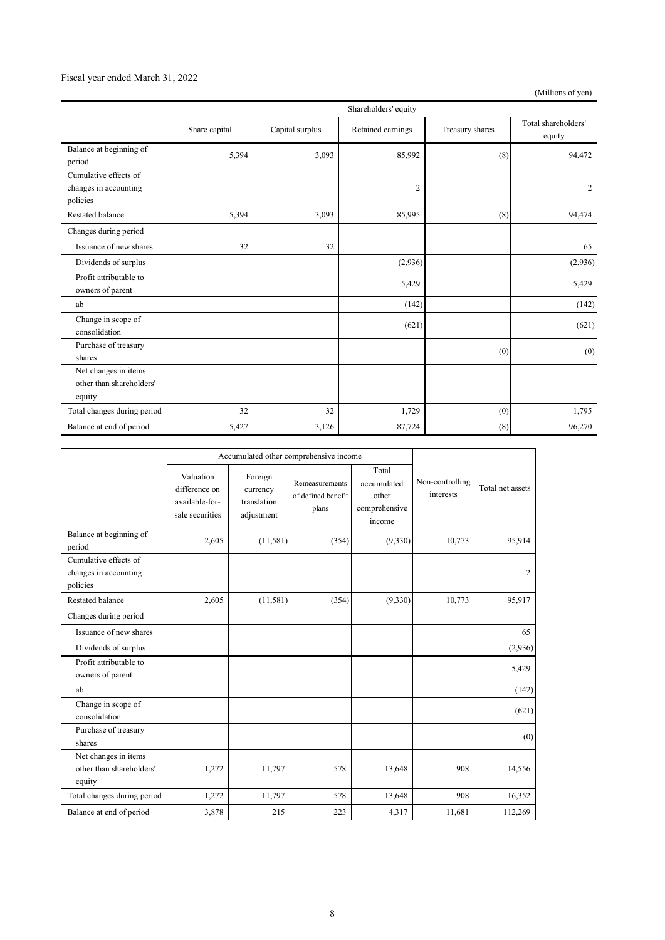#### Fiscal year ended March 31, 2022

(Millions of yen)

|                                                            | Shareholders' equity |                 |                   |                 |                               |
|------------------------------------------------------------|----------------------|-----------------|-------------------|-----------------|-------------------------------|
|                                                            | Share capital        | Capital surplus | Retained earnings | Treasury shares | Total shareholders'<br>equity |
| Balance at beginning of<br>period                          | 5,394                | 3,093           | 85,992            | (8)             | 94,472                        |
| Cumulative effects of<br>changes in accounting<br>policies |                      |                 | $\overline{c}$    |                 | $\overline{c}$                |
| Restated balance                                           | 5,394                | 3,093           | 85,995            | (8)             | 94,474                        |
| Changes during period                                      |                      |                 |                   |                 |                               |
| Issuance of new shares                                     | 32                   | 32              |                   |                 | 65                            |
| Dividends of surplus                                       |                      |                 | (2,936)           |                 | (2,936)                       |
| Profit attributable to<br>owners of parent                 |                      |                 | 5,429             |                 | 5,429                         |
| ab                                                         |                      |                 | (142)             |                 | (142)                         |
| Change in scope of<br>consolidation                        |                      |                 | (621)             |                 | (621)                         |
| Purchase of treasury<br>shares                             |                      |                 |                   | (0)             | (0)                           |
| Net changes in items<br>other than shareholders'<br>equity |                      |                 |                   |                 |                               |
| Total changes during period                                | 32                   | 32              | 1,729             | (0)             | 1,795                         |
| Balance at end of period                                   | 5,427                | 3,126           | 87,724            | (8)             | 96,270                        |

|                                                            | Accumulated other comprehensive income                          |                                                  |                                               |                                                          |                              |                  |
|------------------------------------------------------------|-----------------------------------------------------------------|--------------------------------------------------|-----------------------------------------------|----------------------------------------------------------|------------------------------|------------------|
|                                                            | Valuation<br>difference on<br>available-for-<br>sale securities | Foreign<br>currency<br>translation<br>adjustment | Remeasurements<br>of defined benefit<br>plans | Total<br>accumulated<br>other<br>comprehensive<br>income | Non-controlling<br>interests | Total net assets |
| Balance at beginning of<br>period                          | 2.605                                                           | (11,581)                                         | (354)                                         | (9,330)                                                  | 10,773                       | 95,914           |
| Cumulative effects of<br>changes in accounting<br>policies |                                                                 |                                                  |                                               |                                                          |                              | 2                |
| <b>Restated balance</b>                                    | 2,605                                                           | (11, 581)                                        | (354)                                         | (9,330)                                                  | 10,773                       | 95,917           |
| Changes during period                                      |                                                                 |                                                  |                                               |                                                          |                              |                  |
| Issuance of new shares                                     |                                                                 |                                                  |                                               |                                                          |                              | 65               |
| Dividends of surplus                                       |                                                                 |                                                  |                                               |                                                          |                              | (2,936)          |
| Profit attributable to<br>owners of parent                 |                                                                 |                                                  |                                               |                                                          |                              | 5,429            |
| ab                                                         |                                                                 |                                                  |                                               |                                                          |                              | (142)            |
| Change in scope of<br>consolidation                        |                                                                 |                                                  |                                               |                                                          |                              | (621)            |
| Purchase of treasury<br>shares                             |                                                                 |                                                  |                                               |                                                          |                              | (0)              |
| Net changes in items<br>other than shareholders'<br>equity | 1,272                                                           | 11,797                                           | 578                                           | 13,648                                                   | 908                          | 14,556           |
| Total changes during period                                | 1,272                                                           | 11,797                                           | 578                                           | 13,648                                                   | 908                          | 16,352           |
| Balance at end of period                                   | 3,878                                                           | 215                                              | 223                                           | 4,317                                                    | 11,681                       | 112,269          |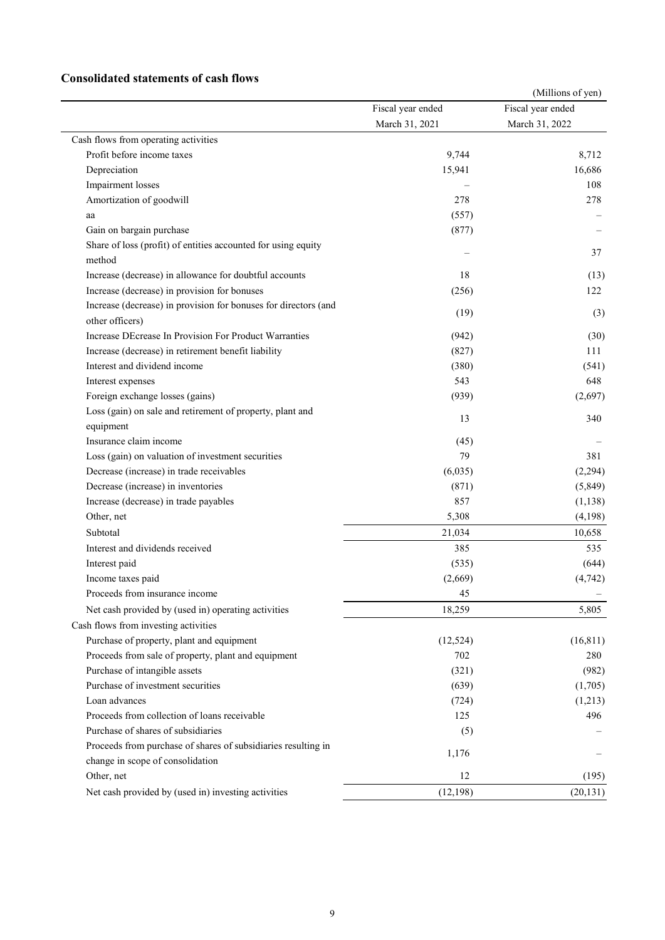### **Consolidated statements of cash flows**

|                                                                         |                   | (Millions of yen) |
|-------------------------------------------------------------------------|-------------------|-------------------|
|                                                                         | Fiscal year ended | Fiscal year ended |
|                                                                         | March 31, 2021    | March 31, 2022    |
| Cash flows from operating activities                                    |                   |                   |
| Profit before income taxes                                              | 9,744             | 8,712             |
| Depreciation                                                            | 15,941            | 16,686            |
| Impairment losses                                                       |                   | 108               |
| Amortization of goodwill                                                | 278               | 278               |
| aa                                                                      | (557)             |                   |
| Gain on bargain purchase                                                | (877)             |                   |
| Share of loss (profit) of entities accounted for using equity<br>method |                   | 37                |
| Increase (decrease) in allowance for doubtful accounts                  | 18                | (13)              |
| Increase (decrease) in provision for bonuses                            | (256)             | 122               |
| Increase (decrease) in provision for bonuses for directors (and         | (19)              | (3)               |
| other officers)                                                         |                   |                   |
| Increase DEcrease In Provision For Product Warranties                   | (942)             | (30)              |
| Increase (decrease) in retirement benefit liability                     | (827)             | 111               |
| Interest and dividend income                                            | (380)             | (541)             |
| Interest expenses                                                       | 543               | 648               |
| Foreign exchange losses (gains)                                         | (939)             | (2,697)           |
| Loss (gain) on sale and retirement of property, plant and               | 13                | 340               |
| equipment                                                               |                   |                   |
| Insurance claim income                                                  | (45)              |                   |
| Loss (gain) on valuation of investment securities                       | 79                | 381               |
| Decrease (increase) in trade receivables                                | (6,035)           | (2,294)           |
| Decrease (increase) in inventories                                      | (871)             | (5,849)           |
| Increase (decrease) in trade payables                                   | 857               | (1, 138)          |
| Other, net                                                              | 5,308             | (4,198)           |
| Subtotal                                                                | 21,034            | 10,658            |
| Interest and dividends received                                         | 385               | 535               |
| Interest paid                                                           | (535)             | (644)             |
| Income taxes paid                                                       | (2,669)           | (4, 742)          |
| Proceeds from insurance income                                          | 45                |                   |
| Net cash provided by (used in) operating activities                     | 18,259            | 5,805             |
| Cash flows from investing activities                                    |                   |                   |
| Purchase of property, plant and equipment                               | (12,524)          | (16, 811)         |
| Proceeds from sale of property, plant and equipment                     | 702               | 280               |
| Purchase of intangible assets                                           | (321)             | (982)             |
| Purchase of investment securities                                       | (639)             | (1,705)           |
| Loan advances                                                           | (724)             | (1,213)           |
| Proceeds from collection of loans receivable                            | 125               | 496               |
| Purchase of shares of subsidiaries                                      | (5)               |                   |
| Proceeds from purchase of shares of subsidiaries resulting in           | 1,176             |                   |
| change in scope of consolidation                                        |                   |                   |
| Other, net                                                              | 12                | (195)             |
| Net cash provided by (used in) investing activities                     | (12, 198)         | (20, 131)         |